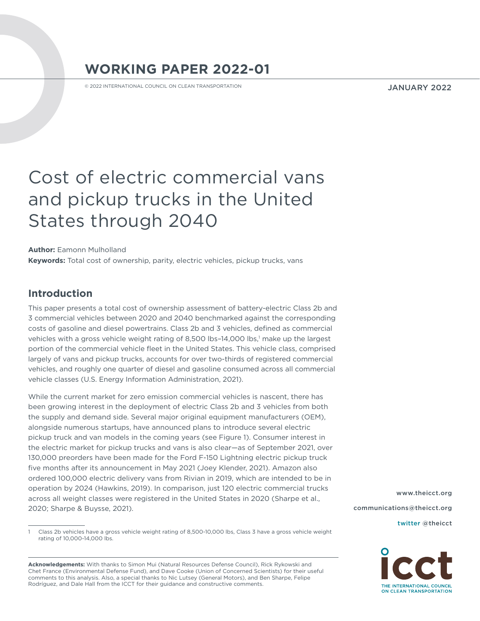# **WORKING PAPER 2022-01**

© 2022 INTERNATIONAL COUNCIL ON CLEAN TRANSPORTATION

JANUARY 2022

# Cost of electric commercial vans and pickup trucks in the United States through 2040

**Author:** Eamonn Mulholland **Keywords:** Total cost of ownership, parity, electric vehicles, pickup trucks, vans

## **Introduction**

This paper presents a total cost of ownership assessment of battery-electric Class 2b and 3 commercial vehicles between 2020 and 2040 benchmarked against the corresponding costs of gasoline and diesel powertrains. Class 2b and 3 vehicles, defined as commercial vehicles with a gross vehicle weight rating of 8,500 lbs-14,000 lbs,' make up the largest portion of the commercial vehicle fleet in the United States. This vehicle class, comprised largely of vans and pickup trucks, accounts for over two-thirds of registered commercial vehicles, and roughly one quarter of diesel and gasoline consumed across all commercial vehicle classes (U.S. Energy Information Administration, 2021).

While the current market for zero emission commercial vehicles is nascent, there has been growing interest in the deployment of electric Class 2b and 3 vehicles from both the supply and demand side. Several major original equipment manufacturers (OEM), alongside numerous startups, have announced plans to introduce several electric pickup truck and van models in the coming years (see Figure 1). Consumer interest in the electric market for pickup trucks and vans is also clear—as of September 2021, over 130,000 preorders have been made for the Ford F-150 Lightning electric pickup truck five months after its announcement in May 2021 (Joey Klender, 2021). Amazon also ordered 100,000 electric delivery vans from Rivian in 2019, which are intended to be in operation by 2024 (Hawkins, 2019). In comparison, just 120 electric commercial trucks across all weight classes were registered in the United States in 2020 (Sharpe et al., 2020; Sharpe & Buysse, 2021).

**Acknowledgements:** With thanks to Simon Mui (Natural Resources Defense Council), Rick Rykowski and Chet France (Environmental Defense Fund), and Dave Cooke (Union of Concerned Scientists) for their useful comments to this analysis. Also, a special thanks to Nic Lutsey (General Motors), and Ben Sharpe, Felipe Rodríguez, and Dale Hall from the ICCT for their guidance and constructive comments.

[www.theicct.org](http://www.theicct.org) [communications@theicct.org](mailto:communications%40theicct.org%20%20%20%20?subject=)  [twitter @theicct](http://twitter.com/theicct)



Class 2b vehicles have a gross vehicle weight rating of 8,500-10,000 lbs, Class 3 have a gross vehicle weight rating of 10,000-14,000 lbs.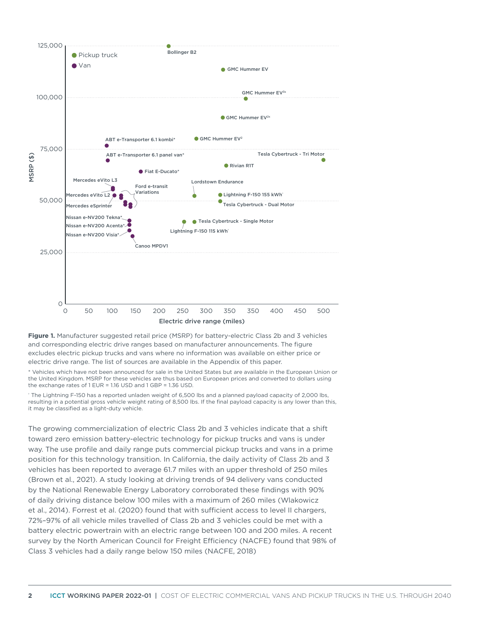

Figure 1. Manufacturer suggested retail price (MSRP) for battery-electric Class 2b and 3 vehicles and corresponding electric drive ranges based on manufacturer announcements. The figure excludes electric pickup trucks and vans where no information was available on either price or electric drive range. The list of sources are available in the Appendix of this paper.

\* Vehicles which have not been announced for sale in the United States but are available in the European Union or the United Kingdom. MSRP for these vehicles are thus based on European prices and converted to dollars using the exchange rates of 1 EUR = 1.16 USD and 1 GBP = 1.36 USD.

† The Lightning F-150 has a reported unladen weight of 6,500 lbs and a planned payload capacity of 2,000 lbs, resulting in a potential gross vehicle weight rating of 8,500 lbs. If the final payload capacity is any lower than this, it may be classified as a light-duty vehicle.

The growing commercialization of electric Class 2b and 3 vehicles indicate that a shift toward zero emission battery-electric technology for pickup trucks and vans is under way. The use profile and daily range puts commercial pickup trucks and vans in a prime position for this technology transition. In California, the daily activity of Class 2b and 3 vehicles has been reported to average 61.7 miles with an upper threshold of 250 miles (Brown et al., 2021). A study looking at driving trends of 94 delivery vans conducted by the National Renewable Energy Laboratory corroborated these findings with 90% of daily driving distance below 100 miles with a maximum of 260 miles (Wlakowicz et al., 2014). Forrest et al. (2020) found that with sufficient access to level II chargers, 72%–97% of all vehicle miles travelled of Class 2b and 3 vehicles could be met with a battery electric powertrain with an electric range between 100 and 200 miles. A recent survey by the North American Council for Freight Efficiency (NACFE) found that 98% of Class 3 vehicles had a daily range below 150 miles (NACFE, 2018)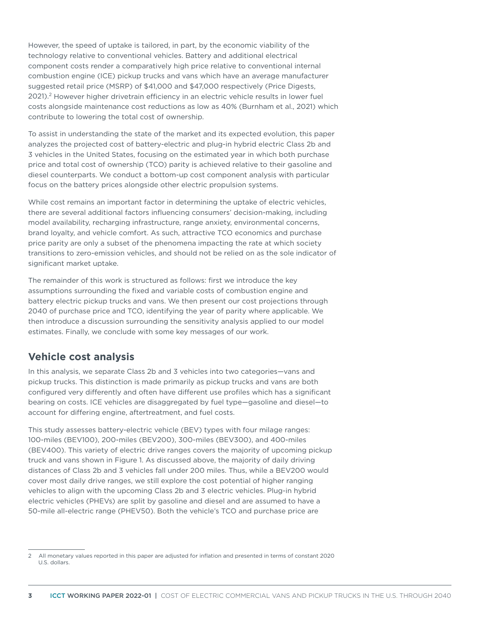However, the speed of uptake is tailored, in part, by the economic viability of the technology relative to conventional vehicles. Battery and additional electrical component costs render a comparatively high price relative to conventional internal combustion engine (ICE) pickup trucks and vans which have an average manufacturer suggested retail price (MSRP) of \$41,000 and \$47,000 respectively (Price Digests, 2021).2 However higher drivetrain efficiency in an electric vehicle results in lower fuel costs alongside maintenance cost reductions as low as 40% (Burnham et al., 2021) which contribute to lowering the total cost of ownership.

To assist in understanding the state of the market and its expected evolution, this paper analyzes the projected cost of battery-electric and plug-in hybrid electric Class 2b and 3 vehicles in the United States, focusing on the estimated year in which both purchase price and total cost of ownership (TCO) parity is achieved relative to their gasoline and diesel counterparts. We conduct a bottom-up cost component analysis with particular focus on the battery prices alongside other electric propulsion systems.

While cost remains an important factor in determining the uptake of electric vehicles, there are several additional factors influencing consumers' decision-making, including model availability, recharging infrastructure, range anxiety, environmental concerns, brand loyalty, and vehicle comfort. As such, attractive TCO economics and purchase price parity are only a subset of the phenomena impacting the rate at which society transitions to zero-emission vehicles, and should not be relied on as the sole indicator of significant market uptake.

The remainder of this work is structured as follows: first we introduce the key assumptions surrounding the fixed and variable costs of combustion engine and battery electric pickup trucks and vans. We then present our cost projections through 2040 of purchase price and TCO, identifying the year of parity where applicable. We then introduce a discussion surrounding the sensitivity analysis applied to our model estimates. Finally, we conclude with some key messages of our work.

## **Vehicle cost analysis**

In this analysis, we separate Class 2b and 3 vehicles into two categories—vans and pickup trucks. This distinction is made primarily as pickup trucks and vans are both configured very differently and often have different use profiles which has a significant bearing on costs. ICE vehicles are disaggregated by fuel type—gasoline and diesel—to account for differing engine, aftertreatment, and fuel costs.

This study assesses battery-electric vehicle (BEV) types with four milage ranges: 100-miles (BEV100), 200-miles (BEV200), 300-miles (BEV300), and 400-miles (BEV400). This variety of electric drive ranges covers the majority of upcoming pickup truck and vans shown in Figure 1. As discussed above, the majority of daily driving distances of Class 2b and 3 vehicles fall under 200 miles. Thus, while a BEV200 would cover most daily drive ranges, we still explore the cost potential of higher ranging vehicles to align with the upcoming Class 2b and 3 electric vehicles. Plug-in hybrid electric vehicles (PHEVs) are split by gasoline and diesel and are assumed to have a 50-mile all-electric range (PHEV50). Both the vehicle's TCO and purchase price are

<sup>2</sup> All monetary values reported in this paper are adjusted for inflation and presented in terms of constant 2020 U.S. dollars.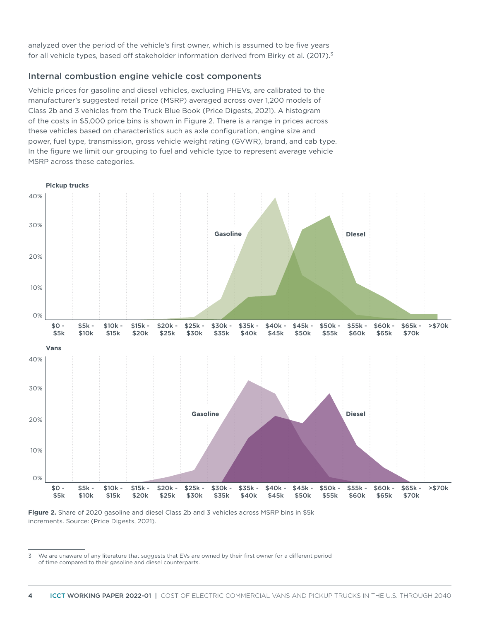analyzed over the period of the vehicle's first owner, which is assumed to be five years for all vehicle types, based off stakeholder information derived from Birky et al. (2017).<sup>3</sup>

#### Internal combustion engine vehicle cost components

Vehicle prices for gasoline and diesel vehicles, excluding PHEVs, are calibrated to the manufacturer's suggested retail price (MSRP) averaged across over 1,200 models of Class 2b and 3 vehicles from the Truck Blue Book (Price Digests, 2021). A histogram of the costs in \$5,000 price bins is shown in Figure 2. There is a range in prices across these vehicles based on characteristics such as axle configuration, engine size and power, fuel type, transmission, gross vehicle weight rating (GVWR), brand, and cab type. In the figure we limit our grouping to fuel and vehicle type to represent average vehicle MSRP across these categories.





<sup>3</sup> We are unaware of any literature that suggests that EVs are owned by their first owner for a different period of time compared to their gasoline and diesel counterparts.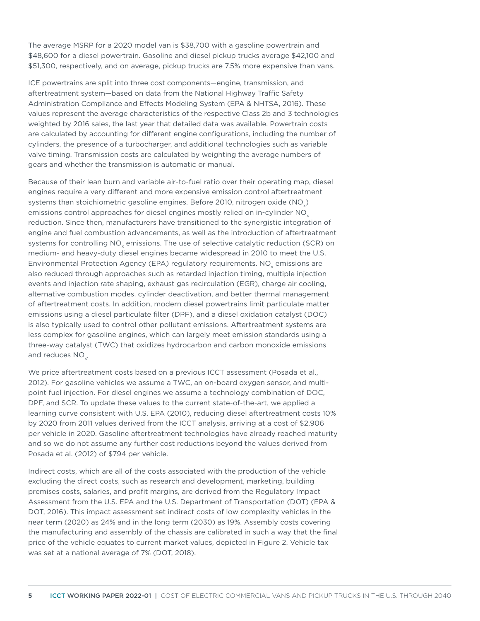The average MSRP for a 2020 model van is \$38,700 with a gasoline powertrain and \$48,600 for a diesel powertrain. Gasoline and diesel pickup trucks average \$42,100 and \$51,300, respectively, and on average, pickup trucks are 7.5% more expensive than vans.

ICE powertrains are split into three cost components—engine, transmission, and aftertreatment system—based on data from the National Highway Traffic Safety Administration Compliance and Effects Modeling System (EPA & NHTSA, 2016). These values represent the average characteristics of the respective Class 2b and 3 technologies weighted by 2016 sales, the last year that detailed data was available. Powertrain costs are calculated by accounting for different engine configurations, including the number of cylinders, the presence of a turbocharger, and additional technologies such as variable valve timing. Transmission costs are calculated by weighting the average numbers of gears and whether the transmission is automatic or manual.

Because of their lean burn and variable air-to-fuel ratio over their operating map, diesel engines require a very different and more expensive emission control aftertreatment systems than stoichiometric gasoline engines. Before 2010, nitrogen oxide (NO<sub>.</sub>) emissions control approaches for diesel engines mostly relied on in-cylinder NO<sub>y</sub> reduction. Since then, manufacturers have transitioned to the synergistic integration of engine and fuel combustion advancements, as well as the introduction of aftertreatment systems for controlling NO<sub>v</sub> emissions. The use of selective catalytic reduction (SCR) on medium- and heavy-duty diesel engines became widespread in 2010 to meet the U.S. Environmental Protection Agency (EPA) regulatory requirements. NO<sub>v</sub> emissions are also reduced through approaches such as retarded injection timing, multiple injection events and injection rate shaping, exhaust gas recirculation (EGR), charge air cooling, alternative combustion modes, cylinder deactivation, and better thermal management of aftertreatment costs. In addition, modern diesel powertrains limit particulate matter emissions using a diesel particulate filter (DPF), and a diesel oxidation catalyst (DOC) is also typically used to control other pollutant emissions. Aftertreatment systems are less complex for gasoline engines, which can largely meet emission standards using a three-way catalyst (TWC) that oxidizes hydrocarbon and carbon monoxide emissions and reduces NO<sub>.</sub>.

We price aftertreatment costs based on a previous ICCT assessment (Posada et al., 2012). For gasoline vehicles we assume a TWC, an on-board oxygen sensor, and multipoint fuel injection. For diesel engines we assume a technology combination of DOC, DPF, and SCR. To update these values to the current state-of-the-art, we applied a learning curve consistent with U.S. EPA (2010), reducing diesel aftertreatment costs 10% by 2020 from 2011 values derived from the ICCT analysis, arriving at a cost of \$2,906 per vehicle in 2020. Gasoline aftertreatment technologies have already reached maturity and so we do not assume any further cost reductions beyond the values derived from Posada et al. (2012) of \$794 per vehicle.

Indirect costs, which are all of the costs associated with the production of the vehicle excluding the direct costs, such as research and development, marketing, building premises costs, salaries, and profit margins, are derived from the Regulatory Impact Assessment from the U.S. EPA and the U.S. Department of Transportation (DOT) (EPA & DOT, 2016). This impact assessment set indirect costs of low complexity vehicles in the near term (2020) as 24% and in the long term (2030) as 19%. Assembly costs covering the manufacturing and assembly of the chassis are calibrated in such a way that the final price of the vehicle equates to current market values, depicted in Figure 2. Vehicle tax was set at a national average of 7% (DOT, 2018).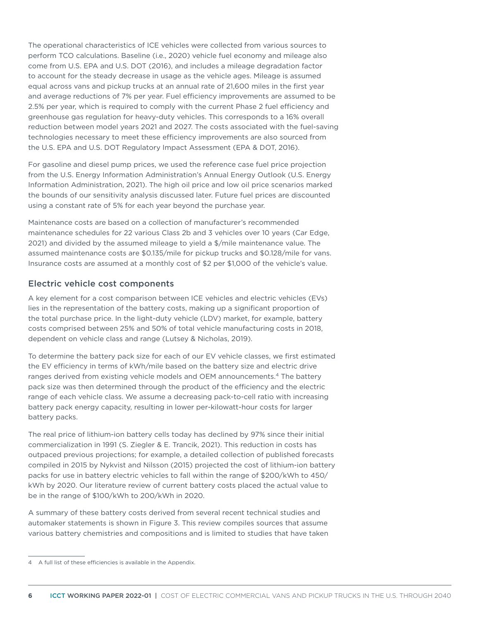The operational characteristics of ICE vehicles were collected from various sources to perform TCO calculations. Baseline (i.e., 2020) vehicle fuel economy and mileage also come from U.S. EPA and U.S. DOT (2016), and includes a mileage degradation factor to account for the steady decrease in usage as the vehicle ages. Mileage is assumed equal across vans and pickup trucks at an annual rate of 21,600 miles in the first year and average reductions of 7% per year. Fuel efficiency improvements are assumed to be 2.5% per year, which is required to comply with the current Phase 2 fuel efficiency and greenhouse gas regulation for heavy-duty vehicles. This corresponds to a 16% overall reduction between model years 2021 and 2027. The costs associated with the fuel-saving technologies necessary to meet these efficiency improvements are also sourced from the U.S. EPA and U.S. DOT Regulatory Impact Assessment (EPA & DOT, 2016).

For gasoline and diesel pump prices, we used the reference case fuel price projection from the U.S. Energy Information Administration's Annual Energy Outlook (U.S. Energy Information Administration, 2021). The high oil price and low oil price scenarios marked the bounds of our sensitivity analysis discussed later. Future fuel prices are discounted using a constant rate of 5% for each year beyond the purchase year.

Maintenance costs are based on a collection of manufacturer's recommended maintenance schedules for 22 various Class 2b and 3 vehicles over 10 years (Car Edge, 2021) and divided by the assumed mileage to yield a \$/mile maintenance value. The assumed maintenance costs are \$0.135/mile for pickup trucks and \$0.128/mile for vans. Insurance costs are assumed at a monthly cost of \$2 per \$1,000 of the vehicle's value.

#### Electric vehicle cost components

A key element for a cost comparison between ICE vehicles and electric vehicles (EVs) lies in the representation of the battery costs, making up a significant proportion of the total purchase price. In the light-duty vehicle (LDV) market, for example, battery costs comprised between 25% and 50% of total vehicle manufacturing costs in 2018, dependent on vehicle class and range (Lutsey & Nicholas, 2019).

To determine the battery pack size for each of our EV vehicle classes, we first estimated the EV efficiency in terms of kWh/mile based on the battery size and electric drive ranges derived from existing vehicle models and OEM announcements.4 The battery pack size was then determined through the product of the efficiency and the electric range of each vehicle class. We assume a decreasing pack-to-cell ratio with increasing battery pack energy capacity, resulting in lower per-kilowatt-hour costs for larger battery packs.

The real price of lithium-ion battery cells today has declined by 97% since their initial commercialization in 1991 (S. Ziegler & E. Trancik, 2021). This reduction in costs has outpaced previous projections; for example, a detailed collection of published forecasts compiled in 2015 by Nykvist and Nilsson (2015) projected the cost of lithium-ion battery packs for use in battery electric vehicles to fall within the range of \$200/kWh to 450/ kWh by 2020. Our literature review of current battery costs placed the actual value to be in the range of \$100/kWh to 200/kWh in 2020.

A summary of these battery costs derived from several recent technical studies and automaker statements is shown in Figure 3. This review compiles sources that assume various battery chemistries and compositions and is limited to studies that have taken

<sup>4</sup> A full list of these efficiencies is available in the Appendix.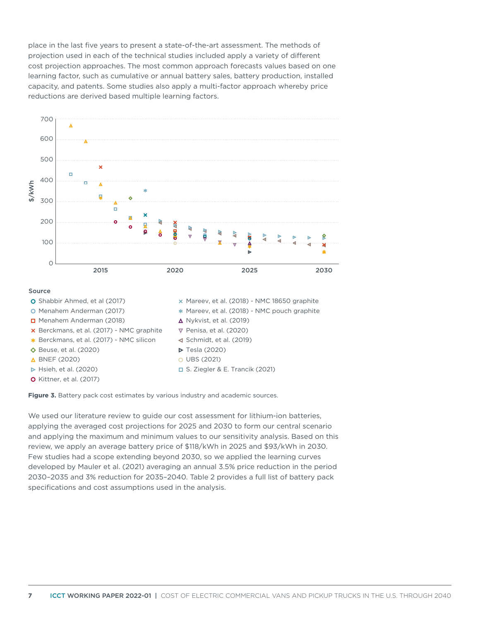place in the last five years to present a state-of-the-art assessment. The methods of projection used in each of the technical studies included apply a variety of different cost projection approaches. The most common approach forecasts values based on one learning factor, such as cumulative or annual battery sales, battery production, installed capacity, and patents. Some studies also apply a multi-factor approach whereby price reductions are derived based multiple learning factors.



**Figure 3.** Battery pack cost estimates by various industry and academic sources.

We used our literature review to guide our cost assessment for lithium-ion batteries, applying the averaged cost projections for 2025 and 2030 to form our central scenario and applying the maximum and minimum values to our sensitivity analysis. Based on this review, we apply an average battery price of \$118/kWh in 2025 and \$93/kWh in 2030. Few studies had a scope extending beyond 2030, so we applied the learning curves developed by Mauler et al. (2021) averaging an annual 3.5% price reduction in the period 2030–2035 and 3% reduction for 2035–2040. Table 2 provides a full list of battery pack specifications and cost assumptions used in the analysis.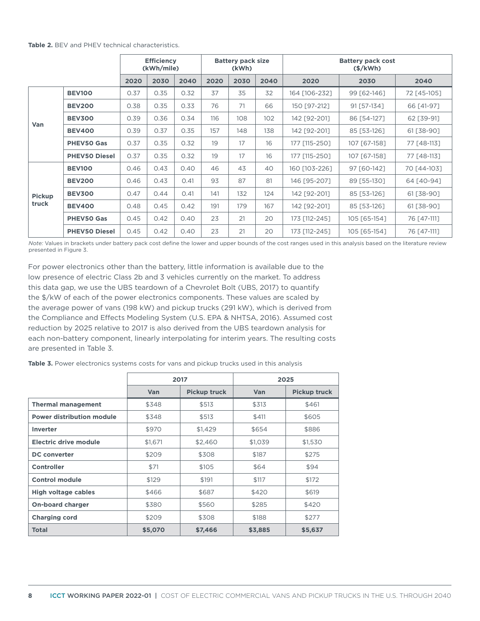|                        |                      | <b>Efficiency</b><br>(kWh/mile) |      |      | <b>Battery pack size</b><br>(kWh) |      |      | <b>Battery pack cost</b><br>$(\frac{\xi}{kWh})$ |              |             |  |
|------------------------|----------------------|---------------------------------|------|------|-----------------------------------|------|------|-------------------------------------------------|--------------|-------------|--|
|                        |                      | 2020                            | 2030 | 2040 | 2020                              | 2030 | 2040 | 2020                                            | 2030         | 2040        |  |
| Van                    | <b>BEV100</b>        | 0.37                            | 0.35 | 0.32 | 37                                | 35   | 32   | 164 [106-232]                                   | 99 [62-146]  | 72 [45-105] |  |
|                        | <b>BEV200</b>        | 0.38                            | 0.35 | 0.33 | 76                                | 71   | 66   | 150 [97-212]                                    | 91 [57-134]  | 66 [41-97]  |  |
|                        | <b>BEV300</b>        | 0.39                            | 0.36 | 0.34 | 116                               | 108  | 102  | 142 [92-201]                                    | 86 [54-127]  | 62 [39-91]  |  |
|                        | <b>BEV400</b>        | 0.39                            | 0.37 | 0.35 | 157                               | 148  | 138  | 142 [92-201]                                    | 85 [53-126]  | 61 [38-90]  |  |
|                        | <b>PHEV50 Gas</b>    | 0.37                            | 0.35 | 0.32 | 19                                | 17   | 16   | 177 [115-250]                                   | 107 [67-158] | 77 [48-113] |  |
|                        | <b>PHEV50 Diesel</b> | 0.37                            | 0.35 | 0.32 | 19                                | 17   | 16   | 177 [115-250]                                   | 107 [67-158] | 77 [48-113] |  |
| <b>Pickup</b><br>truck | <b>BEV100</b>        | 0.46                            | 0.43 | 0.40 | 46                                | 43   | 40   | 160 [103-226]                                   | 97 [60-142]  | 70 [44-103] |  |
|                        | <b>BEV200</b>        | 0.46                            | 0.43 | 0.41 | 93                                | 87   | 81   | 146 [95-207]                                    | 89 [55-130]  | 64 [40-94]  |  |
|                        | <b>BEV300</b>        | 0.47                            | 0.44 | 0.41 | 141                               | 132  | 124  | 142 [92-201]                                    | 85 [53-126]  | 61 [38-90]  |  |
|                        | <b>BEV400</b>        | 0.48                            | 0.45 | 0.42 | 191                               | 179  | 167  | 142 [92-201]                                    | 85 [53-126]  | 61 [38-90]  |  |
|                        | <b>PHEV50 Gas</b>    | 0.45                            | 0.42 | 0.40 | 23                                | 21   | 20   | 173 [112-245]                                   | 105 [65-154] | 76 [47-111] |  |
|                        | <b>PHEV50 Diesel</b> | 0.45                            | 0.42 | 0.40 | 23                                | 21   | 20   | 173 [112-245]                                   | 105 [65-154] | 76 [47-111] |  |

*Note:* Values in brackets under battery pack cost define the lower and upper bounds of the cost ranges used in this analysis based on the literature review presented in Figure 3.

For power electronics other than the battery, little information is available due to the low presence of electric Class 2b and 3 vehicles currently on the market. To address this data gap, we use the UBS teardown of a Chevrolet Bolt (UBS, 2017) to quantify the \$/kW of each of the power electronics components. These values are scaled by the average power of vans (198 kW) and pickup trucks (291 kW), which is derived from the Compliance and Effects Modeling System (U.S. EPA & NHTSA, 2016). Assumed cost reduction by 2025 relative to 2017 is also derived from the UBS teardown analysis for each non-battery component, linearly interpolating for interim years. The resulting costs are presented in Table 3.

**Table 3.** Power electronics systems costs for vans and pickup trucks used in this analysis

|                                  |            | 2017                | 2025       |                     |  |  |
|----------------------------------|------------|---------------------|------------|---------------------|--|--|
|                                  | <b>Van</b> | <b>Pickup truck</b> | <b>Van</b> | <b>Pickup truck</b> |  |  |
| <b>Thermal management</b>        | \$348      | \$513               | \$313      | \$461               |  |  |
| <b>Power distribution module</b> | \$348      | \$513               | \$411      | \$605               |  |  |
| <b>Inverter</b>                  | \$970      | \$1,429             | \$654      | \$886               |  |  |
| Electric drive module            | \$1,671    | \$2,460             | \$1,039    | \$1,530             |  |  |
| <b>DC</b> converter              | \$209      | \$308               | \$187      | \$275               |  |  |
| <b>Controller</b>                | \$71       | \$105               | \$64       | \$94                |  |  |
| <b>Control module</b>            | \$129      | \$191               | \$117      | \$172               |  |  |
| <b>High voltage cables</b>       | \$466      | \$687               | \$420      | \$619               |  |  |
| <b>On-board charger</b>          | \$380      | \$560               | \$285      | \$420               |  |  |
| <b>Charging cord</b>             | \$209      | \$308               | \$188      | \$277               |  |  |
| <b>Total</b>                     | \$5,070    | \$7,466             | \$3,885    | \$5,637             |  |  |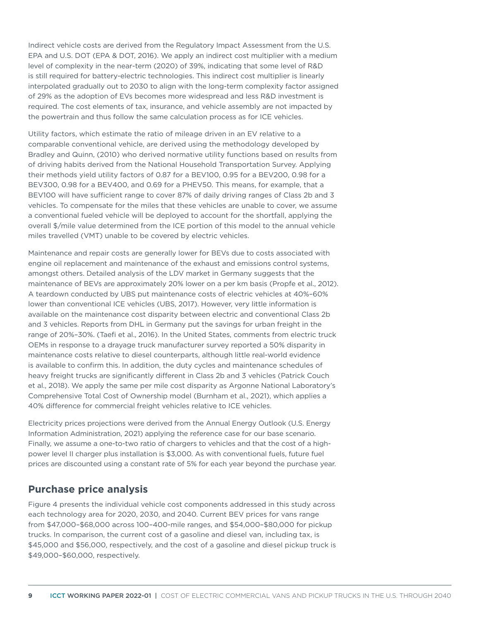Indirect vehicle costs are derived from the Regulatory Impact Assessment from the U.S. EPA and U.S. DOT (EPA & DOT, 2016). We apply an indirect cost multiplier with a medium level of complexity in the near-term (2020) of 39%, indicating that some level of R&D is still required for battery-electric technologies. This indirect cost multiplier is linearly interpolated gradually out to 2030 to align with the long-term complexity factor assigned of 29% as the adoption of EVs becomes more widespread and less R&D investment is required. The cost elements of tax, insurance, and vehicle assembly are not impacted by the powertrain and thus follow the same calculation process as for ICE vehicles.

Utility factors, which estimate the ratio of mileage driven in an EV relative to a comparable conventional vehicle, are derived using the methodology developed by Bradley and Quinn, (2010) who derived normative utility functions based on results from of driving habits derived from the National Household Transportation Survey. Applying their methods yield utility factors of 0.87 for a BEV100, 0.95 for a BEV200, 0.98 for a BEV300, 0.98 for a BEV400, and 0.69 for a PHEV50. This means, for example, that a BEV100 will have sufficient range to cover 87% of daily driving ranges of Class 2b and 3 vehicles. To compensate for the miles that these vehicles are unable to cover, we assume a conventional fueled vehicle will be deployed to account for the shortfall, applying the overall \$/mile value determined from the ICE portion of this model to the annual vehicle miles travelled (VMT) unable to be covered by electric vehicles.

Maintenance and repair costs are generally lower for BEVs due to costs associated with engine oil replacement and maintenance of the exhaust and emissions control systems, amongst others. Detailed analysis of the LDV market in Germany suggests that the maintenance of BEVs are approximately 20% lower on a per km basis (Propfe et al., 2012). A teardown conducted by UBS put maintenance costs of electric vehicles at 40%–60% lower than conventional ICE vehicles (UBS, 2017). However, very little information is available on the maintenance cost disparity between electric and conventional Class 2b and 3 vehicles. Reports from DHL in Germany put the savings for urban freight in the range of 20%–30%. (Taefi et al., 2016). In the United States, comments from electric truck OEMs in response to a drayage truck manufacturer survey reported a 50% disparity in maintenance costs relative to diesel counterparts, although little real-world evidence is available to confirm this. In addition, the duty cycles and maintenance schedules of heavy freight trucks are significantly different in Class 2b and 3 vehicles (Patrick Couch et al., 2018). We apply the same per mile cost disparity as Argonne National Laboratory's Comprehensive Total Cost of Ownership model (Burnham et al., 2021), which applies a 40% difference for commercial freight vehicles relative to ICE vehicles.

Electricity prices projections were derived from the Annual Energy Outlook (U.S. Energy Information Administration, 2021) applying the reference case for our base scenario. Finally, we assume a one-to-two ratio of chargers to vehicles and that the cost of a highpower level II charger plus installation is \$3,000. As with conventional fuels, future fuel prices are discounted using a constant rate of 5% for each year beyond the purchase year.

## **Purchase price analysis**

Figure 4 presents the individual vehicle cost components addressed in this study across each technology area for 2020, 2030, and 2040. Current BEV prices for vans range from \$47,000–\$68,000 across 100–400-mile ranges, and \$54,000–\$80,000 for pickup trucks. In comparison, the current cost of a gasoline and diesel van, including tax, is \$45,000 and \$56,000, respectively, and the cost of a gasoline and diesel pickup truck is \$49,000–\$60,000, respectively.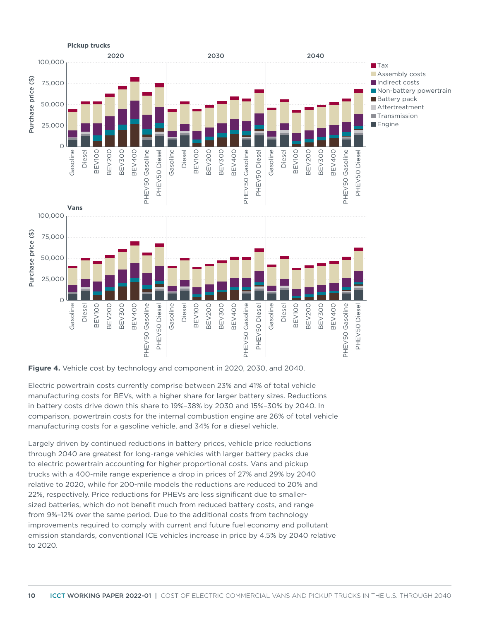

#### **Figure 4.** Vehicle cost by technology and component in 2020, 2030, and 2040.

Electric powertrain costs currently comprise between 23% and 41% of total vehicle manufacturing costs for BEVs, with a higher share for larger battery sizes. Reductions in battery costs drive down this share to 19%–38% by 2030 and 15%–30% by 2040. In comparison, powertrain costs for the internal combustion engine are 26% of total vehicle manufacturing costs for a gasoline vehicle, and 34% for a diesel vehicle.

Figure 4. Vehicle costs of  $\frac{3}{2}$  of  $\frac{2}{3}$  of  $\frac{2}{3}$  of  $\frac{2}{3}$  of  $\frac{2}{3}$  of  $\frac{2}{3}$  of  $\frac{2}{3}$  of  $\frac{2}{3}$  of  $\frac{2}{3}$  of  $\frac{2}{3}$  of  $\frac{2}{3}$  of  $\frac{2}{3}$  of  $\frac{2}{3}$  of  $\frac{2}{3}$  of  $\frac{2}{3}$  of Largely driven by continued reductions in battery prices, vehicle price reductions through 2040 are greatest for long-range vehicles with larger battery packs due to electric powertrain accounting for higher proportional costs. Vans and pickup trucks with a 400-mile range experience a drop in prices of 27% and 29% by 2040 relative to 2020, while for 200-mile models the reductions are reduced to 20% and 22%, respectively. Price reductions for PHEVs are less significant due to smallersized batteries, which do not benefit much from reduced battery costs, and range from 9%–12% over the same period. Due to the additional costs from technology improvements required to comply with current and future fuel economy and pollutant emission standards, conventional ICE vehicles increase in price by 4.5% by 2040 relative to 2020.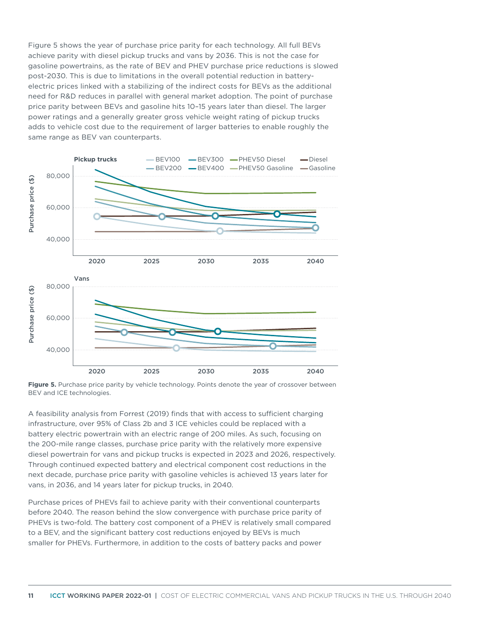Figure 5 shows the year of purchase price parity for each technology. All full BEVs achieve parity with diesel pickup trucks and vans by 2036. This is not the case for gasoline powertrains, as the rate of BEV and PHEV purchase price reductions is slowed post-2030. This is due to limitations in the overall potential reduction in batteryelectric prices linked with a stabilizing of the indirect costs for BEVs as the additional need for R&D reduces in parallel with general market adoption. The point of purchase price parity between BEVs and gasoline hits 10–15 years later than diesel. The larger power ratings and a generally greater gross vehicle weight rating of pickup trucks adds to vehicle cost due to the requirement of larger batteries to enable roughly the same range as BEV van counterparts.



**Figure 5.** Purchase price parity by vehicle technology. Points denote the year of crossover between BEV and ICE technologies.

A feasibility analysis from Forrest (2019) finds that with access to sufficient charging infrastructure, over 95% of Class 2b and 3 ICE vehicles could be replaced with a battery electric powertrain with an electric range of 200 miles. As such, focusing on the 200-mile range classes, purchase price parity with the relatively more expensive diesel powertrain for vans and pickup trucks is expected in 2023 and 2026, respectively. Through continued expected battery and electrical component cost reductions in the next decade, purchase price parity with gasoline vehicles is achieved 13 years later for vans, in 2036, and 14 years later for pickup trucks, in 2040.

Purchase prices of PHEVs fail to achieve parity with their conventional counterparts before 2040. The reason behind the slow convergence with purchase price parity of PHEVs is two-fold. The battery cost component of a PHEV is relatively small compared to a BEV, and the significant battery cost reductions enjoyed by BEVs is much smaller for PHEVs. Furthermore, in addition to the costs of battery packs and power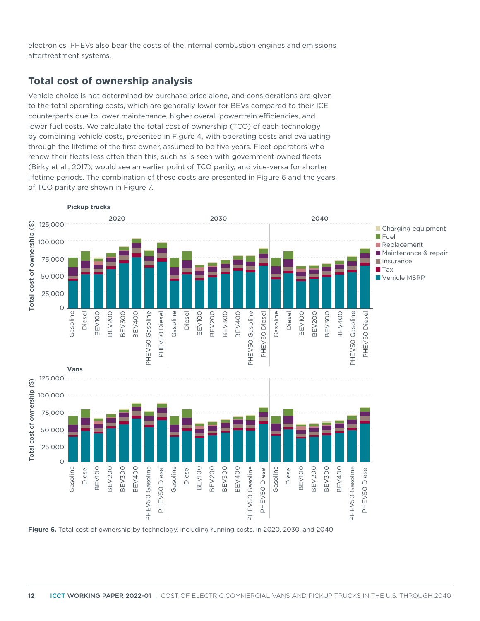electronics, PHEVs also bear the costs of the internal combustion engines and emissions aftertreatment systems.

## **Total cost of ownership analysis**

Vehicle choice is not determined by purchase price alone, and considerations are given to the total operating costs, which are generally lower for BEVs compared to their ICE counterparts due to lower maintenance, higher overall powertrain efficiencies, and lower fuel costs. We calculate the total cost of ownership (TCO) of each technology by combining vehicle costs, presented in Figure 4, with operating costs and evaluating through the lifetime of the first owner, assumed to be five years. Fleet operators who renew their fleets less often than this, such as is seen with government owned fleets (Birky et al., 2017), would see an earlier point of TCO parity, and vice-versa for shorter lifetime periods. The combination of these costs are presented in Figure 6 and the years of TCO parity are shown in Figure 7.



**Figure 6.** Total cost of ownership by technology, including running costs, in 2020, 2030, and 2040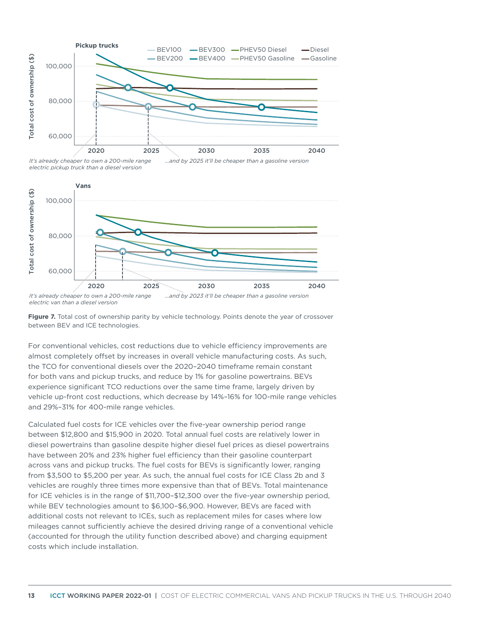

*<sup>...</sup>and by 2025 it'll be cheaper than a gasoline version It's already cheaper to own a 200-mile range electric pickup truck than a diesel version* 



Figure 7. Total cost of ownership parity by vehicle technology. Points denote the year of crossover between BEV and ICE technologies.

For conventional vehicles, cost reductions due to vehicle efficiency improvements are almost completely offset by increases in overall vehicle manufacturing costs. As such, the TCO for conventional diesels over the 2020–2040 timeframe remain constant for both vans and pickup trucks, and reduce by 1% for gasoline powertrains. BEVs experience significant TCO reductions over the same time frame, largely driven by vehicle up-front cost reductions, which decrease by 14%–16% for 100-mile range vehicles and 29%–31% for 400-mile range vehicles.

Calculated fuel costs for ICE vehicles over the five-year ownership period range between \$12,800 and \$15,900 in 2020. Total annual fuel costs are relatively lower in diesel powertrains than gasoline despite higher diesel fuel prices as diesel powertrains have between 20% and 23% higher fuel efficiency than their gasoline counterpart across vans and pickup trucks. The fuel costs for BEVs is significantly lower, ranging from \$3,500 to \$5,200 per year. As such, the annual fuel costs for ICE Class 2b and 3 vehicles are roughly three times more expensive than that of BEVs. Total maintenance for ICE vehicles is in the range of \$11,700–\$12,300 over the five-year ownership period, while BEV technologies amount to \$6,100–\$6,900. However, BEVs are faced with additional costs not relevant to ICEs, such as replacement miles for cases where low mileages cannot sufficiently achieve the desired driving range of a conventional vehicle (accounted for through the utility function described above) and charging equipment costs which include installation.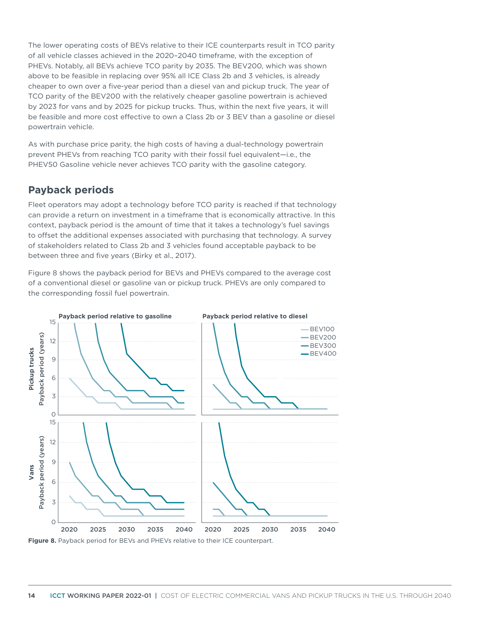The lower operating costs of BEVs relative to their ICE counterparts result in TCO parity of all vehicle classes achieved in the 2020–2040 timeframe, with the exception of PHEVs. Notably, all BEVs achieve TCO parity by 2035. The BEV200, which was shown above to be feasible in replacing over 95% all ICE Class 2b and 3 vehicles, is already cheaper to own over a five-year period than a diesel van and pickup truck. The year of TCO parity of the BEV200 with the relatively cheaper gasoline powertrain is achieved by 2023 for vans and by 2025 for pickup trucks. Thus, within the next five years, it will be feasible and more cost effective to own a Class 2b or 3 BEV than a gasoline or diesel powertrain vehicle.

As with purchase price parity, the high costs of having a dual-technology powertrain prevent PHEVs from reaching TCO parity with their fossil fuel equivalent—i.e., the PHEV50 Gasoline vehicle never achieves TCO parity with the gasoline category.

## **Payback periods**

Fleet operators may adopt a technology before TCO parity is reached if that technology can provide a return on investment in a timeframe that is economically attractive. In this context, payback period is the amount of time that it takes a technology's fuel savings to offset the additional expenses associated with purchasing that technology. A survey of stakeholders related to Class 2b and 3 vehicles found acceptable payback to be between three and five years (Birky et al., 2017).

Figure 8 shows the payback period for BEVs and PHEVs compared to the average cost of a conventional diesel or gasoline van or pickup truck. PHEVs are only compared to the corresponding fossil fuel powertrain.

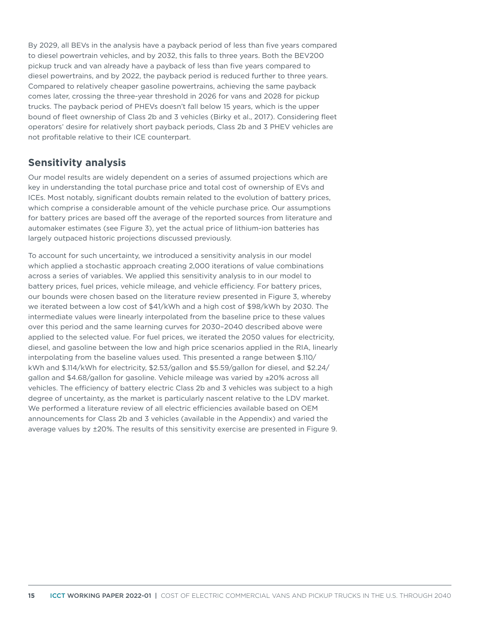By 2029, all BEVs in the analysis have a payback period of less than five years compared to diesel powertrain vehicles, and by 2032, this falls to three years. Both the BEV200 pickup truck and van already have a payback of less than five years compared to diesel powertrains, and by 2022, the payback period is reduced further to three years. Compared to relatively cheaper gasoline powertrains, achieving the same payback comes later, crossing the three-year threshold in 2026 for vans and 2028 for pickup trucks. The payback period of PHEVs doesn't fall below 15 years, which is the upper bound of fleet ownership of Class 2b and 3 vehicles (Birky et al., 2017). Considering fleet operators' desire for relatively short payback periods, Class 2b and 3 PHEV vehicles are not profitable relative to their ICE counterpart.

## **Sensitivity analysis**

Our model results are widely dependent on a series of assumed projections which are key in understanding the total purchase price and total cost of ownership of EVs and ICEs. Most notably, significant doubts remain related to the evolution of battery prices, which comprise a considerable amount of the vehicle purchase price. Our assumptions for battery prices are based off the average of the reported sources from literature and automaker estimates (see Figure 3), yet the actual price of lithium-ion batteries has largely outpaced historic projections discussed previously.

To account for such uncertainty, we introduced a sensitivity analysis in our model which applied a stochastic approach creating 2,000 iterations of value combinations across a series of variables. We applied this sensitivity analysis to in our model to battery prices, fuel prices, vehicle mileage, and vehicle efficiency. For battery prices, our bounds were chosen based on the literature review presented in Figure 3, whereby we iterated between a low cost of \$41/kWh and a high cost of \$98/kWh by 2030. The intermediate values were linearly interpolated from the baseline price to these values over this period and the same learning curves for 2030–2040 described above were applied to the selected value. For fuel prices, we iterated the 2050 values for electricity, diesel, and gasoline between the low and high price scenarios applied in the RIA, linearly interpolating from the baseline values used. This presented a range between \$.110/ kWh and \$.114/kWh for electricity, \$2.53/gallon and \$5.59/gallon for diesel, and \$2.24/ gallon and \$4.68/gallon for gasoline. Vehicle mileage was varied by ±20% across all vehicles. The efficiency of battery electric Class 2b and 3 vehicles was subject to a high degree of uncertainty, as the market is particularly nascent relative to the LDV market. We performed a literature review of all electric efficiencies available based on OEM announcements for Class 2b and 3 vehicles (available in the Appendix) and varied the average values by ±20%. The results of this sensitivity exercise are presented in Figure 9.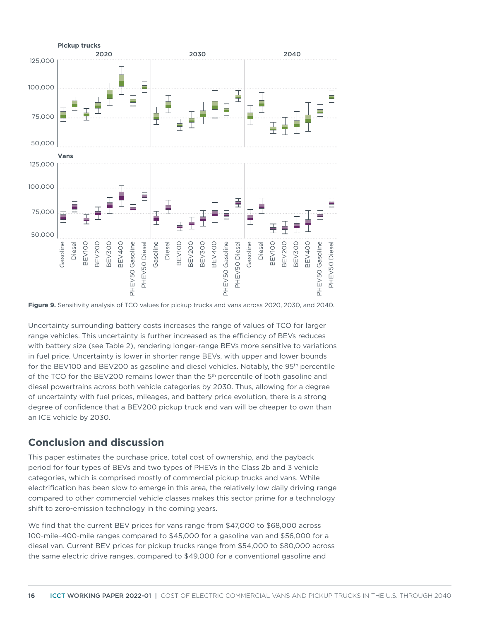



Uncertainty surrounding battery costs increases the range of values of TCO for larger range vehicles. This uncertainty is further increased as the efficiency of BEVs reduces with battery size (see Table 2), rendering longer-range BEVs more sensitive to variations in fuel price. Uncertainty is lower in shorter range BEVs, with upper and lower bounds for the BEV100 and BEV200 as gasoline and diesel vehicles. Notably, the 95<sup>th</sup> percentile of the TCO for the BEV200 remains lower than the  $5<sup>th</sup>$  percentile of both gasoline and diesel powertrains across both vehicle categories by 2030. Thus, allowing for a degree of uncertainty with fuel prices, mileages, and battery price evolution, there is a strong degree of confidence that a BEV200 pickup truck and van will be cheaper to own than an ICE vehicle by 2030.

### **Conclusion and discussion**

This paper estimates the purchase price, total cost of ownership, and the payback period for four types of BEVs and two types of PHEVs in the Class 2b and 3 vehicle categories, which is comprised mostly of commercial pickup trucks and vans. While electrification has been slow to emerge in this area, the relatively low daily driving range compared to other commercial vehicle classes makes this sector prime for a technology shift to zero-emission technology in the coming years.

We find that the current BEV prices for vans range from \$47,000 to \$68,000 across 100-mile–400-mile ranges compared to \$45,000 for a gasoline van and \$56,000 for a diesel van. Current BEV prices for pickup trucks range from \$54,000 to \$80,000 across the same electric drive ranges, compared to \$49,000 for a conventional gasoline and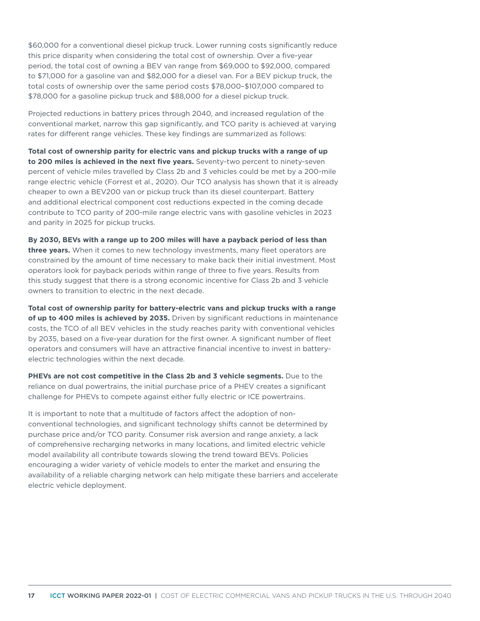\$60,000 for a conventional diesel pickup truck. Lower running costs significantly reduce this price disparity when considering the total cost of ownership. Over a five-year period, the total cost of owning a BEV van range from \$69,000 to \$92,000, compared to \$71,000 for a gasoline van and \$82,000 for a diesel van. For a BEV pickup truck, the total costs of ownership over the same period costs \$78,000–\$107,000 compared to \$78,000 for a gasoline pickup truck and \$88,000 for a diesel pickup truck.

Projected reductions in battery prices through 2040, and increased regulation of the conventional market, narrow this gap significantly, and TCO parity is achieved at varying rates for different range vehicles. These key findings are summarized as follows:

**Total cost of ownership parity for electric vans and pickup trucks with a range of up to 200 miles is achieved in the next five years.** Seventy-two percent to ninety-seven percent of vehicle miles travelled by Class 2b and 3 vehicles could be met by a 200-mile range electric vehicle (Forrest et al., 2020). Our TCO analysis has shown that it is already cheaper to own a BEV200 van or pickup truck than its diesel counterpart. Battery and additional electrical component cost reductions expected in the coming decade contribute to TCO parity of 200-mile range electric vans with gasoline vehicles in 2023 and parity in 2025 for pickup trucks.

**By 2030, BEVs with a range up to 200 miles will have a payback period of less than three years.** When it comes to new technology investments, many fleet operators are constrained by the amount of time necessary to make back their initial investment. Most operators look for payback periods within range of three to five years. Results from this study suggest that there is a strong economic incentive for Class 2b and 3 vehicle owners to transition to electric in the next decade.

**Total cost of ownership parity for battery-electric vans and pickup trucks with a range of up to 400 miles is achieved by 2035.** Driven by significant reductions in maintenance costs, the TCO of all BEV vehicles in the study reaches parity with conventional vehicles by 2035, based on a five-year duration for the first owner. A significant number of fleet operators and consumers will have an attractive financial incentive to invest in batteryelectric technologies within the next decade.

**PHEVs are not cost competitive in the Class 2b and 3 vehicle segments.** Due to the reliance on dual powertrains, the initial purchase price of a PHEV creates a significant challenge for PHEVs to compete against either fully electric or ICE powertrains.

It is important to note that a multitude of factors affect the adoption of nonconventional technologies, and significant technology shifts cannot be determined by purchase price and/or TCO parity. Consumer risk aversion and range anxiety, a lack of comprehensive recharging networks in many locations, and limited electric vehicle model availability all contribute towards slowing the trend toward BEVs. Policies encouraging a wider variety of vehicle models to enter the market and ensuring the availability of a reliable charging network can help mitigate these barriers and accelerate electric vehicle deployment.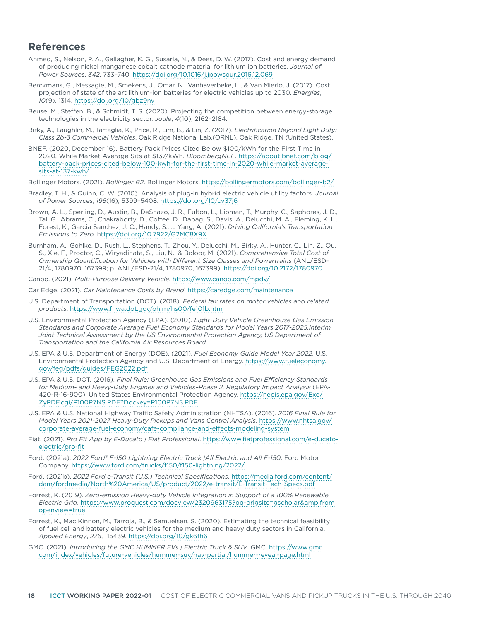#### **References**

- Ahmed, S., Nelson, P. A., Gallagher, K. G., Susarla, N., & Dees, D. W. (2017). Cost and energy demand of producing nickel manganese cobalt cathode material for lithium ion batteries. *Journal of Power Sources*, *342*, 733–740.<https://doi.org/10.1016/j.jpowsour.2016.12.069>
- Berckmans, G., Messagie, M., Smekens, J., Omar, N., Vanhaverbeke, L., & Van Mierlo, J. (2017). Cost projection of state of the art lithium-ion batteries for electric vehicles up to 2030. *Energies*, *10*(9), 1314. <https://doi.org/10/gbz9nv>
- Beuse, M., Steffen, B., & Schmidt, T. S. (2020). Projecting the competition between energy-storage technologies in the electricity sector. *Joule*, *4*(10), 2162–2184.
- Birky, A., Laughlin, M., Tartaglia, K., Price, R., Lim, B., & Lin, Z. (2017). *Electrification Beyond Light Duty: Class 2b-3 Commercial Vehicles*. Oak Ridge National Lab.(ORNL), Oak Ridge, TN (United States).
- BNEF. (2020, December 16). Battery Pack Prices Cited Below \$100/kWh for the First Time in 2020, While Market Average Sits at \$137/kWh. *BloombergNEF*. [https://about.bnef.com/blog/](https://about.bnef.com/blog/battery-pack-prices-cited-below-100-kwh-for-the-first-time-in-2020-while-market-average-sits-at-137-kwh) [battery-pack-prices-cited-below-100-kwh-for-the-first-time-in-2020-while-market-average](https://about.bnef.com/blog/battery-pack-prices-cited-below-100-kwh-for-the-first-time-in-2020-while-market-average-sits-at-137-kwh)[sits-at-137-kwh/](https://about.bnef.com/blog/battery-pack-prices-cited-below-100-kwh-for-the-first-time-in-2020-while-market-average-sits-at-137-kwh)
- Bollinger Motors. (2021). *Bollinger B2*. Bollinger Motors. <https://bollingermotors.com/bollinger-b2/>
- Bradley, T. H., & Quinn, C. W. (2010). Analysis of plug-in hybrid electric vehicle utility factors. *Journal of Power Sources*, *195*(16), 5399–5408. <https://doi.org/10/cv37j6>
- Brown, A. L., Sperling, D., Austin, B., DeShazo, J. R., Fulton, L., Lipman, T., Murphy, C., Saphores, J. D., Tal, G., Abrams, C., Chakraborty, D., Coffee, D., Dabag, S., Davis, A., Delucchi, M. A., Fleming, K. L., Forest, K., Garcia Sanchez, J. C., Handy, S., … Yang, A. (2021). *Driving California's Transportation Emissions to Zero*. h<ttps://doi.org/10.7922/G2MC8X9X>
- Burnham, A., Gohlke, D., Rush, L., Stephens, T., Zhou, Y., Delucchi, M., Birky, A., Hunter, C., Lin, Z., Ou, S., Xie, F., Proctor, C., Wiryadinata, S., Liu, N., & Boloor, M. (2021). *Comprehensive Total Cost of Ownership Quantification for Vehicles with Different Size Classes and Powertrains* (ANL/ESD-21/4, 1780970, 167399; p. ANL/ESD-21/4, 1780970, 167399).<https://doi.org/10.2172/1780970>
- Canoo. (2021). *Multi-Purpose Delivery Vehicle*. <https://www.canoo.com/mpdv/>
- Car Edge. (2021). *Car Maintenance Costs by Brand*.<https://caredge.com/maintenance>
- U.S. Department of Transportation (DOT). (2018). *Federal tax rates on motor vehicles and related products*.<https://www.fhwa.dot.gov/ohim/hs00/fe101b.htm>
- U.S. Environmental Protection Agency (EPA). (2010). *Light-Duty Vehicle Greenhouse Gas Emission Standards and Corporate Average Fuel Economy Standards for Model Years 2017-2025.Interim*  Joint Technical Assessment by the US Environmental Protection Agency, US Department of *Transportation and the California Air Resources Board.*
- U.S. EPA & U.S. Department of Energy (DOE). (2021). *Fuel Economy Guide Model Year 2022*. U.S. Environmental Protection Agency and U.S. Department of Energy. [https://www.fueleconomy.](https://www.fueleconomy.gov/feg/pdfs/guides/FEG2022.pdf) [gov/feg/pdfs/guides/FEG2022.pdf](https://www.fueleconomy.gov/feg/pdfs/guides/FEG2022.pdf)
- U.S. EPA & U.S. DOT. (2016). *Final Rule: Greenhouse Gas Emissions and Fuel Efficiency Standards for Medium- and Heavy-Duty Engines and Vehicles–Phase 2. Regulatory Impact Analysis* (EPA-420-R-16-900). United States Environmental Protection Agency. [https://nepis.epa.gov/Exe/](https://nepis.epa.gov/Exe/ZyPDF.cgi/P100P7NS.PDF?Dockey=P100P7NS.PDF) [ZyPDF.cgi/P100P7NS.PDF?Dockey=P100P7NS.PDF](https://nepis.epa.gov/Exe/ZyPDF.cgi/P100P7NS.PDF?Dockey=P100P7NS.PDF)
- U.S. EPA & U.S. National Highway Traffic Safety Administration (NHTSA). (2016). *2016 Final Rule for Model Years 2021-2027 Heavy-Duty Pickups and Vans Central Analysis*. [https://www.nhtsa.gov/](https://www.nhtsa.gov/corporate-average-fuel-economy/cafe-compliance-and-effects-modeling-system) [corporate-average-fuel-economy/cafe-compliance-and-effects-modeling-system](https://www.nhtsa.gov/corporate-average-fuel-economy/cafe-compliance-and-effects-modeling-system)
- Fiat. (2021). *Pro Fit App by E-Ducato | Fiat Professional*. [https://www.fiatprofessional.com/e-ducato](https://www.fiatprofessional.com/e-ducato-electric/pro-fit)[electric/pro-fit](https://www.fiatprofessional.com/e-ducato-electric/pro-fit)
- Ford. (2021a). *2022 Ford® F-150 Lightning Electric Truck |All Electric and All F-150*. Ford Motor Company.<https://www.ford.com/trucks/f150/f150-lightning/2022/>
- Ford. (2021b). *2022 Ford e-Transit (U.S.) Technical Specifications*. [https://media.ford.com/content/](https://media.ford.com/content/dam/fordmedia/North%20America/US/product/2022/e-transit/E-Transit-Tech-Specs.pdf4) [dam/fordmedia/North%20America/US/product/2022/e-transit/E-Transit-Tech-Specs.pdf](https://media.ford.com/content/dam/fordmedia/North%20America/US/product/2022/e-transit/E-Transit-Tech-Specs.pdf4)
- Forrest, K. (2019). *Zero-emission Heavy-duty Vehicle Integration in Support of a 100% Renewable Electric Grid*. [https://www.proquest.com/docview/2320963175?pq-origsite=gscholar&from](https://www.proquest.com/docview/2320963175?pq-origsite=gscholar&fromopenview=true) [openview=true](https://www.proquest.com/docview/2320963175?pq-origsite=gscholar&fromopenview=true)
- Forrest, K., Mac Kinnon, M., Tarroja, B., & Samuelsen, S. (2020). Estimating the technical feasibility of fuel cell and battery electric vehicles for the medium and heavy duty sectors in California. *Applied Energy*, *276*, 115439. <https://doi.org/10/gk6fh6>
- GMC. (2021). *Introducing the GMC HUMMER EVs | Electric Truck & SUV*. GMC. [https://www.gmc.](https://www.gmc.com/index/vehicles/future-vehicles/hummer-suv/nav-partial/hummer-reveal-page.html) [com/index/vehicles/future-vehicles/hummer-suv/nav-partial/hummer-reveal-page.html](https://www.gmc.com/index/vehicles/future-vehicles/hummer-suv/nav-partial/hummer-reveal-page.html)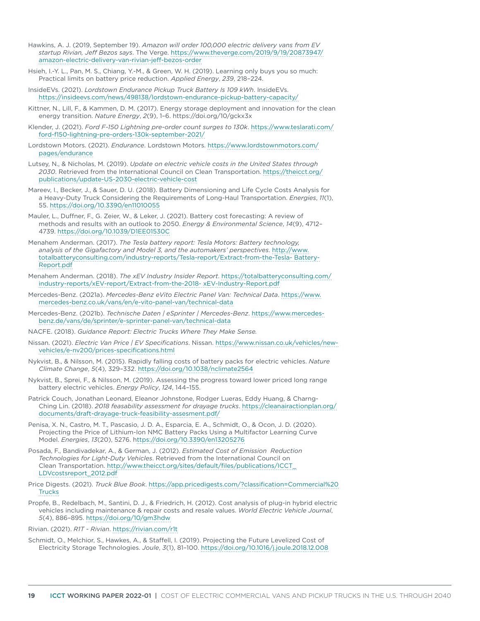- Hawkins, A. J. (2019, September 19). *Amazon will order 100,000 electric delivery vans from EV startup Rivian, Jeff Bezos says*. The Verge. [https://www.theverge.com/2019/9/19/20873947/](https://www.theverge.com/2019/9/19/20873947/amazon-electric-delivery-van-rivian-jeff-bezos-order) [amazon-electric-delivery-van-rivian-jeff-bezos-order](https://www.theverge.com/2019/9/19/20873947/amazon-electric-delivery-van-rivian-jeff-bezos-order)
- Hsieh, I.-Y. L., Pan, M. S., Chiang, Y.-M., & Green, W. H. (2019). Learning only buys you so much: Practical limits on battery price reduction. *Applied Energy*, *239*, 218–224.
- InsideEVs. (2021). *Lordstown Endurance Pickup Truck Battery Is 109 kWh*. InsideEVs. <https://insideevs.com/news/498138/lordstown-endurance-pickup-battery-capacity/>
- Kittner, N., Lill, F., & Kammen, D. M. (2017). Energy storage deployment and innovation for the clean energy transition. *Nature Energy*, *2*(9), 1–6. https://doi.org/10/gckx3x
- Klender, J. (2021). *Ford F-150 Lightning pre-order count surges to 130k*. [https://www.teslarati.com/](https://www.teslarati.com/ford-f150-lightning-pre-orders-130k-september-2021/) [ford-f150-lightning-pre-orders-130k-september-2021/](https://www.teslarati.com/ford-f150-lightning-pre-orders-130k-september-2021/)
- Lordstown Motors. (2021). *Endurance*. Lordstown Motors. [https://www.lordstownmotors.com/](https://www.lordstownmotors.com/pages/endurance) [pages/endurance](https://www.lordstownmotors.com/pages/endurance)
- Lutsey, N., & Nicholas, M. (2019). *Update on electric vehicle costs in the United States through 2030*. Retrieved from the International Council on Clean Transportation. [https://theicct.org/](https://theicct.org/publications/update-US-2030-electric-vehicle-cost) [publications/update-US-2030-electric-vehicle-cost](https://theicct.org/publications/update-US-2030-electric-vehicle-cost)
- Mareev, I., Becker, J., & Sauer, D. U. (2018). Battery Dimensioning and Life Cycle Costs Analysis for a Heavy-Duty Truck Considering the Requirements of Long-Haul Transportation. *Energies*, *11*(1), 55. <https://doi.org/10.3390/en11010055>
- Mauler, L., Duffner, F., G. Zeier, W., & Leker, J. (2021). Battery cost forecasting: A review of methods and results with an outlook to 2050. *Energy & Environmental Science*, *14*(9), 4712– 4739.<https://doi.org/10.1039/D1EE01530C>
- Menahem Anderman. (2017). *The Tesla battery report: Tesla Motors: Battery technology, analysis of the Gigafactory and Model 3, and the automakers' perspectives*. [http://www.](http://www.totalbatteryconsulting.com/industry-reports/Tesla-report/Extract-from-the-Tesla- Battery-Report.pdf) [totalbatteryconsulting.com/industry-reports/Tesla-report/Extract-from-the-Tesla- Battery-](http://www.totalbatteryconsulting.com/industry-reports/Tesla-report/Extract-from-the-Tesla- Battery-Report.pdf)[Report.pdf](http://www.totalbatteryconsulting.com/industry-reports/Tesla-report/Extract-from-the-Tesla- Battery-Report.pdf)
- Menahem Anderman. (2018). *The xEV Industry Insider Report*. [https://totalbatteryconsulting.com/](https://totalbatteryconsulting.com/industry-reports/xEV-report/Extract-from-the-2018- xEV-Industry-Report.pdf) [industry-reports/xEV-report/Extract-from-the-2018- xEV-Industry-Report.pdf](https://totalbatteryconsulting.com/industry-reports/xEV-report/Extract-from-the-2018- xEV-Industry-Report.pdf)
- Mercedes-Benz. (2021a). *Mercedes-Benz eVito Electric Panel Van: Technical Data*. [https://www.](https://www.mercedes-benz.co.uk/vans/en/e-vito-panel-van/technical-data) [mercedes-benz.co.uk/vans/en/e-vito-panel-van/technical-data](https://www.mercedes-benz.co.uk/vans/en/e-vito-panel-van/technical-data)
- Mercedes-Benz. (2021b). *Technische Daten | eSprinter | Mercedes-Benz*. [https://www.mercedes](https://www.mercedes-benz.de/vans/de/sprinter/e-sprinter-panel-van/technical-data)[benz.de/vans/de/sprinter/e-sprinter-panel-van/technical-data](https://www.mercedes-benz.de/vans/de/sprinter/e-sprinter-panel-van/technical-data)
- NACFE. (2018). *Guidance Report: Electric Trucks Where They Make Sense.*
- Nissan. (2021). *Electric Van Price | EV Specifications*. Nissan. [https://www.nissan.co.uk/vehicles/new](https://www.nissan.co.uk/vehicles/new-vehicles/e-nv200/prices-specifications.html)[vehicles/e-nv200/prices-specifications.html](https://www.nissan.co.uk/vehicles/new-vehicles/e-nv200/prices-specifications.html)
- Nykvist, B., & Nilsson, M. (2015). Rapidly falling costs of battery packs for electric vehicles. *Nature Climate Change*, *5*(4), 329–332.<https://doi.org/10.1038/nclimate2564>
- Nykvist, B., Sprei, F., & Nilsson, M. (2019). Assessing the progress toward lower priced long range battery electric vehicles. *Energy Policy*, *124*, 144–155.
- Patrick Couch, Jonathan Leonard, Eleanor Johnstone, Rodger Lueras, Eddy Huang, & Charng-Ching Lin. (2018). *2018 feasability assessment for drayage trucks*. [https://cleanairactionplan.org/](https://cleanairactionplan.org/documents/draft-drayage-truck-feasibility-assesment.pdf/) [documents/draft-drayage-truck-feasibility-assesment.pdf/](https://cleanairactionplan.org/documents/draft-drayage-truck-feasibility-assesment.pdf/)
- Penisa, X. N., Castro, M. T., Pascasio, J. D. A., Esparcia, E. A., Schmidt, O., & Ocon, J. D. (2020). Projecting the Price of Lithium-Ion NMC Battery Packs Using a Multifactor Learning Curve Model. *Energies*, *13*(20), 5276. h<ttps://doi.org/10.3390/en13205276>
- Posada, F., Bandivadekar, A., & German, J. (2012). *Estimated Cost of Emission Reduction Technologies for Light-Duty Vehicles*. Retrieved from the International Council on Clean Transportation. [http://www.theicct.org/sites/default/files/publications/ICCT\\_](http://www.theicct.org/sites/default/files/publications/ICCT_LDVcostsreport_2012.pdf) [LDVcostsreport\\_2012.pdf](http://www.theicct.org/sites/default/files/publications/ICCT_LDVcostsreport_2012.pdf)
- Price Digests. (2021). *Truck Blue Book*. [https://app.pricedigests.com/?classification=Commercial%20](https://app.pricedigests.com/?classification=Commercial%20Trucks) **[Trucks](https://app.pricedigests.com/?classification=Commercial%20Trucks)**
- Propfe, B., Redelbach, M., Santini, D. J., & Friedrich, H. (2012). Cost analysis of plug-in hybrid electric vehicles including maintenance & repair costs and resale values. *World Electric Vehicle Journal*, *5*(4), 886–895. <https://doi.org/10/gm3hdw>

Rivian. (2021). *R1T - Rivian*. <https://rivian.com/r1t>

Schmidt, O., Melchior, S., Hawkes, A., & Staffell, I. (2019). Projecting the Future Levelized Cost of Electricity Storage Technologies. *Joule*, *3*(1), 81–100. <https://doi.org/10.1016/j.joule.2018.12.008>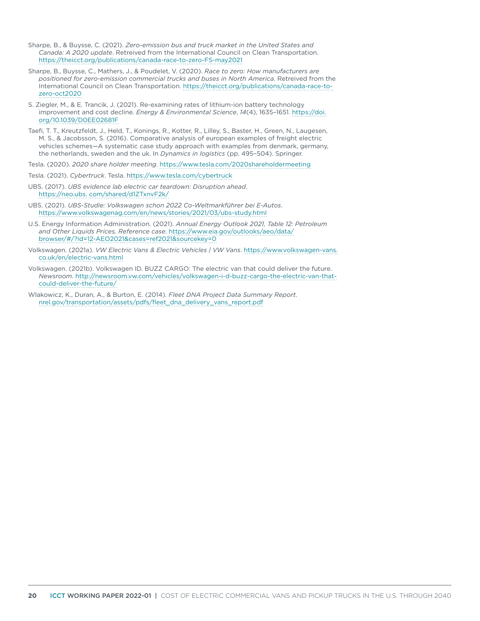- Sharpe, B., & Buysse, C. (2021). *Zero-emission bus and truck market in the United States and Canada: A 2020 update*. Retreived from the International Council on Clean Transportation. <https://theicct.org/publications/canada-race-to-zero-FS-may2021>
- Sharpe, B., Buysse, C., Mathers, J., & Poudelet, V. (2020). *Race to zero: How manufacturers are positioned for zero-emission commercial trucks and buses in North America*. Retreived from the International Council on Clean Transportation. [https://theicct.org/publications/canada-race-to](https://theicct.org/publications/canada-race-to-zero-oct2020)[zero-oct2020](https://theicct.org/publications/canada-race-to-zero-oct2020)
- S. Ziegler, M., & E. Trancik, J. (2021). Re-examining rates of lithium-ion battery technology improvement and cost decline. *Energy & Environmental Science*, *14*(4), 1635–1651. [https://doi.](https://doi.org/10.1039/D0EE02681F) [org/10.1039/D0EE02681F](https://doi.org/10.1039/D0EE02681F)
- Taefi, T. T., Kreutzfeldt, J., Held, T., Konings, R., Kotter, R., Lilley, S., Baster, H., Green, N., Laugesen, M. S., & Jacobsson, S. (2016). Comparative analysis of european examples of freight electric vehicles schemes—A systematic case study approach with examples from denmark, germany, the netherlands, sweden and the uk. In *Dynamics in logistics* (pp. 495–504). Springer.
- Tesla. (2020). *2020 share holder meeting*. <https://www.tesla.com/2020shareholdermeeting>
- Tesla. (2021). *Cybertruck*. Tesla. h<ttps://www.tesla.com/cybertruck>
- UBS. (2017). *UBS evidence lab electric car teardown: Disruption ahead*. <https://neo.ubs. com/shared/d1ZTxnvF2k/>
- UBS. (2021). *UBS-Studie: Volkswagen schon 2022 Co-Weltmarkführer bei E-Autos*. <https://www.volkswagenag.com/en/news/stories/2021/03/ubs-study.html>
- U.S. Energy Information Administration. (2021). *Annual Energy Outlook 2021, Table 12: Petroleum and Other Liquids Prices, Reference case*. [https://www.eia.gov/outlooks/aeo/data/](https://www.eia.gov/outlooks/aeo/data/browser/#/?id=12-AEO2021&cases=ref2021&sourcekey=0) [browser/#/?id=12-AEO2021&cases=ref2021&sourcekey=0](https://www.eia.gov/outlooks/aeo/data/browser/#/?id=12-AEO2021&cases=ref2021&sourcekey=0)
- Volkswagen. (2021a). *VW Electric Vans & Electric Vehicles | VW Vans*. [https://www.volkswagen-vans.](https://www.volkswagen-vans.co.uk/en/electric-vans.html) [co.uk/en/electric-vans.html](https://www.volkswagen-vans.co.uk/en/electric-vans.html)
- Volkswagen. (2021b). Volkswagen ID. BUZZ CARGO: The electric van that could deliver the future. *Newsroom*. [http://newsroom.vw.com/vehicles/volkswagen-i-d-buzz-cargo-the-electric-van-that](http://newsroom.vw.com/vehicles/volkswagen-i-d-buzz-cargo-the-electric-van-that-could-deliver-the-future/)[could-deliver-the-future/](http://newsroom.vw.com/vehicles/volkswagen-i-d-buzz-cargo-the-electric-van-that-could-deliver-the-future/)
- Wlakowicz, K., Duran, A., & Burton, E. (2014). *Fleet DNA Project Data Summary Report*. [nrel.gov/transportation/assets/pdfs/fleet\\_dna\\_delivery\\_vans\\_report.pdf](http://nrel.gov/transportation/assets/pdfs/fleet_dna_delivery_vans_report.pdf)